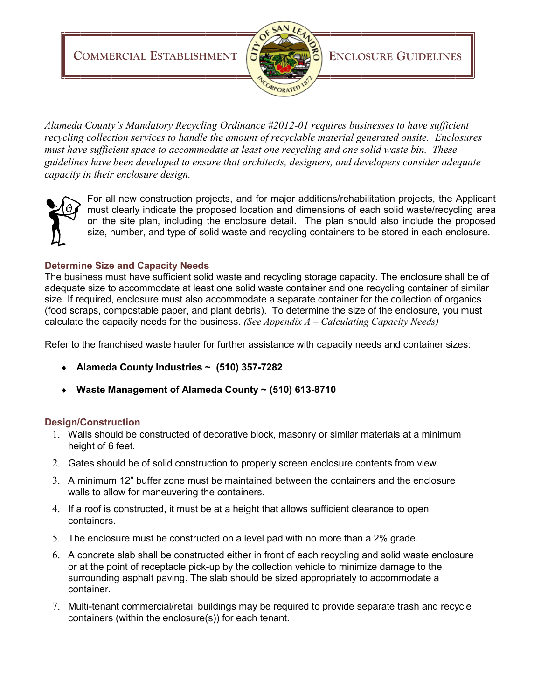**COMMERCIAL ESTABLISHMENT**  $|\mathbf{\hat{S}}|$ 



*Alameda County's Mandatory Recycling Ordinance #2012-01 requires businesses to have sufficient recycling collection services to handle the amount of recyclable material generated onsite. Enclosures must have sufficient space to accommodate at least one recycling and one solid waste bin. These guidelines have been developed to ensure that architects, designers, and developers consider adequate capacity in their enclosure design.* 



For all new construction projects, and for major additions/rehabilitation projects, the Applicant must clearly indicate the proposed location and dimensions of each solid waste/recycling area on the site plan, including the enclosure detail. The plan should also include the proposed size, number, and type of solid waste and recycling containers to be stored in each enclosure.

## **Determine Size and Capacity Needs**

The business must have sufficient solid waste and recycling storage capacity. The enclosure shall be of adequate size to accommodate at least one solid waste container and one recycling container of similar size. If required, enclosure must also accommodate a separate container for the collection of organics (food scraps, compostable paper, and plant debris). To determine the size of the enclosure, you must calculate the capacity needs for the business. *(See Appendix A – Calculating Capacity Needs)*

Refer to the franchised waste hauler for further assistance with capacity needs and container sizes:

- **Alameda County Industries ~ (510) 357-7282**
- **Waste Management of Alameda County ~ (510) 613-8710**

### **Design/Construction**

- 1. Walls should be constructed of decorative block, masonry or similar materials at a minimum height of 6 feet.
- 2. Gates should be of solid construction to properly screen enclosure contents from view.
- 3. A minimum 12" buffer zone must be maintained between the containers and the enclosure walls to allow for maneuvering the containers.
- 4. If a roof is constructed, it must be at a height that allows sufficient clearance to open containers.
- 5. The enclosure must be constructed on a level pad with no more than a 2% grade.
- 6. A concrete slab shall be constructed either in front of each recycling and solid waste enclosure or at the point of receptacle pick-up by the collection vehicle to minimize damage to the surrounding asphalt paving. The slab should be sized appropriately to accommodate a container.
- 7. Multi-tenant commercial/retail buildings may be required to provide separate trash and recycle containers (within the enclosure(s)) for each tenant.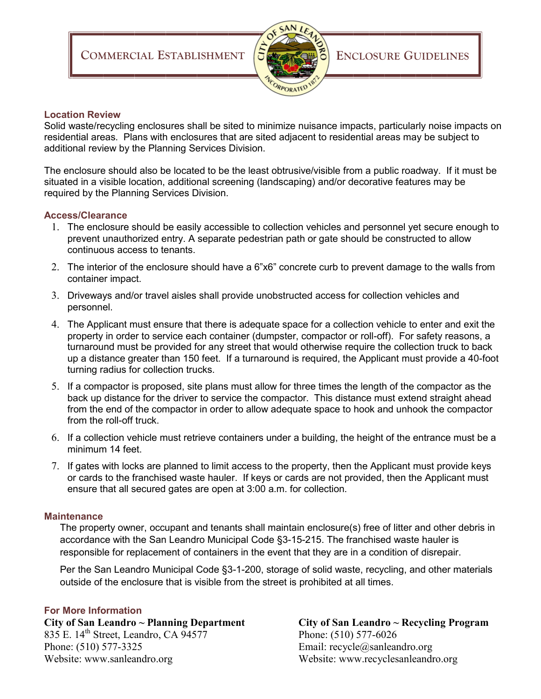

### **Location Review**

Solid waste/recycling enclosures shall be sited to minimize nuisance impacts, particularly noise impacts on residential areas. Plans with enclosures that are sited adjacent to residential areas may be subject to additional review by the Planning Services Division.

The enclosure should also be located to be the least obtrusive/visible from a public roadway. If it must be situated in a visible location, additional screening (landscaping) and/or decorative features may be required by the Planning Services Division.

### **Access/Clearance**

- 1. The enclosure should be easily accessible to collection vehicles and personnel yet secure enough to prevent unauthorized entry. A separate pedestrian path or gate should be constructed to allow continuous access to tenants.
- 2. The interior of the enclosure should have a 6"x6" concrete curb to prevent damage to the walls from container impact.
- 3. Driveways and/or travel aisles shall provide unobstructed access for collection vehicles and personnel.
- 4. The Applicant must ensure that there is adequate space for a collection vehicle to enter and exit the property in order to service each container (dumpster, compactor or roll-off). For safety reasons, a turnaround must be provided for any street that would otherwise require the collection truck to back up a distance greater than 150 feet. If a turnaround is required, the Applicant must provide a 40-foot turning radius for collection trucks.
- 5. If a compactor is proposed, site plans must allow for three times the length of the compactor as the back up distance for the driver to service the compactor. This distance must extend straight ahead from the end of the compactor in order to allow adequate space to hook and unhook the compactor from the roll-off truck.
- 6. If a collection vehicle must retrieve containers under a building, the height of the entrance must be a minimum 14 feet.
- 7. If gates with locks are planned to limit access to the property, then the Applicant must provide keys or cards to the franchised waste hauler. If keys or cards are not provided, then the Applicant must ensure that all secured gates are open at 3:00 a.m. for collection.

### **Maintenance**

The property owner, occupant and tenants shall maintain enclosure(s) free of litter and other debris in accordance with the San Leandro Municipal Code §3-15-215. The franchised waste hauler is responsible for replacement of containers in the event that they are in a condition of disrepair.

Per the San Leandro Municipal Code §3-1-200, storage of solid waste, recycling, and other materials outside of the enclosure that is visible from the street is prohibited at all times.

### **For More Information**

**City of San Leandro ~ Planning Department City of San Leandro ~ Recycling Program** 835 E. 14<sup>th</sup> Street, Leandro, CA 94577 Phone: (510) 577-6026 Phone: (510) 577-3325 Email: recycle@sanleandro.org Website: www.sanleandro.org Website: www.recyclesanleandro.org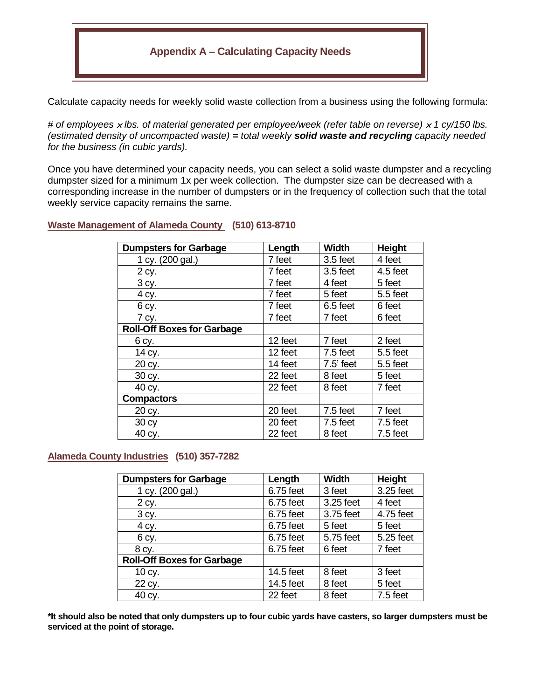# **Appendix A – Calculating Capacity Needs**

Calculate capacity needs for weekly solid waste collection from a business using the following formula:

*# of employees lbs. of material generated per employee/week (refer table on reverse) 1 cy/150 lbs. (estimated density of uncompacted waste) = total weekly solid waste and recycling capacity needed for the business (in cubic yards).*

Once you have determined your capacity needs, you can select a solid waste dumpster and a recycling dumpster sized for a minimum 1x per week collection. The dumpster size can be decreased with a corresponding increase in the number of dumpsters or in the frequency of collection such that the total weekly service capacity remains the same.

### **Waste Management of Alameda County (510) 613-8710**

| <b>Dumpsters for Garbage</b>      | Length  | <b>Width</b> | Height     |
|-----------------------------------|---------|--------------|------------|
| 1 cy. (200 gal.)                  | 7 feet  | $3.5$ feet   | 4 feet     |
| 2 cy.                             | 7 feet  | $3.5$ feet   | 4.5 feet   |
| 3 cy.                             | 7 feet  | 4 feet       | 5 feet     |
| 4 cy.                             | 7 feet  | 5 feet       | 5.5 feet   |
| 6 cy.                             | 7 feet  | 6.5 feet     | 6 feet     |
| 7 cy.                             | 7 feet  | 7 feet       | 6 feet     |
| <b>Roll-Off Boxes for Garbage</b> |         |              |            |
| 6 cy.                             | 12 feet | 7 feet       | 2 feet     |
| 14 cy.                            | 12 feet | $7.5$ feet   | 5.5 feet   |
| 20 cy.                            | 14 feet | $7.5$ ' feet | 5.5 feet   |
| 30 cy.                            | 22 feet | 8 feet       | 5 feet     |
| 40 cy.                            | 22 feet | 8 feet       | 7 feet     |
| <b>Compactors</b>                 |         |              |            |
| 20 cy.                            | 20 feet | 7.5 feet     | 7 feet     |
| 30 cy                             | 20 feet | 7.5 feet     | 7.5 feet   |
| 40 cy.                            | 22 feet | 8 feet       | $7.5$ feet |

### **Alameda County Industries (510) 357-7282**

| <b>Dumpsters for Garbage</b>      | Length    | <b>Width</b> | Height     |
|-----------------------------------|-----------|--------------|------------|
| 1 cy. (200 gal.)                  | 6.75 feet | 3 feet       | 3.25 feet  |
| 2 cy.                             | 6.75 feet | 3.25 feet    | 4 feet     |
| 3 cy.                             | 6.75 feet | 3.75 feet    | 4.75 feet  |
| 4 cy.                             | 6.75 feet | 5 feet       | 5 feet     |
| 6 cy.                             | 6.75 feet | 5.75 feet    | 5.25 feet  |
| 8 cy.                             | 6.75 feet | 6 feet       | 7 feet     |
| <b>Roll-Off Boxes for Garbage</b> |           |              |            |
| 10 cy.                            | 14.5 feet | 8 feet       | 3 feet     |
| 22 cy.                            | 14.5 feet | 8 feet       | 5 feet     |
| 40 cy.                            | 22 feet   | 8 feet       | $7.5$ feet |

**\*It should also be noted that only dumpsters up to four cubic yards have casters, so larger dumpsters must be serviced at the point of storage.**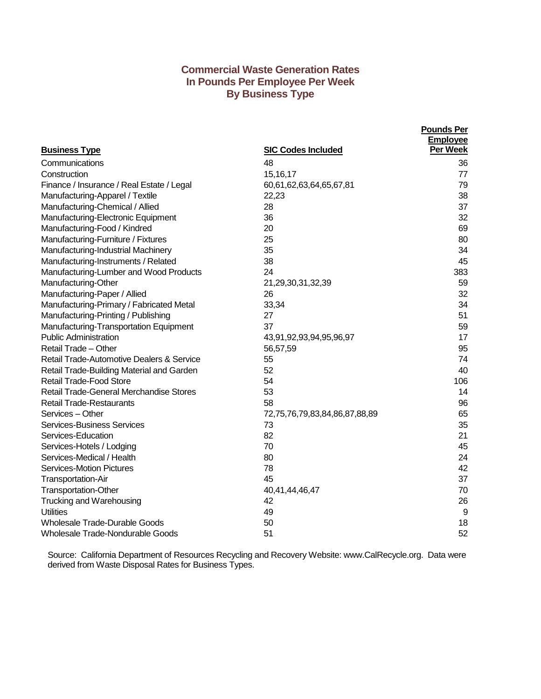# **Commercial Waste Generation Rates In Pounds Per Employee Per Week By Business Type**

| <b>Business Type</b>                      | <b>SIC Codes Included</b>     | <b>Pounds Per</b><br><b>Employee</b><br>Per Week |
|-------------------------------------------|-------------------------------|--------------------------------------------------|
| Communications                            | 48                            | 36                                               |
| Construction                              | 15, 16, 17                    | 77                                               |
| Finance / Insurance / Real Estate / Legal | 60,61,62,63,64,65,67,81       | 79                                               |
| Manufacturing-Apparel / Textile           | 22,23                         | 38                                               |
| Manufacturing-Chemical / Allied           | 28                            | 37                                               |
| Manufacturing-Electronic Equipment        | 36                            | 32                                               |
| Manufacturing-Food / Kindred              | 20                            | 69                                               |
| Manufacturing-Furniture / Fixtures        | 25                            | 80                                               |
| Manufacturing-Industrial Machinery        | 35                            | 34                                               |
| Manufacturing-Instruments / Related       | 38                            | 45                                               |
| Manufacturing-Lumber and Wood Products    | 24                            | 383                                              |
| Manufacturing-Other                       | 21,29,30,31,32,39             | 59                                               |
| Manufacturing-Paper / Allied              | 26                            | 32                                               |
| Manufacturing-Primary / Fabricated Metal  | 33,34                         | 34                                               |
| Manufacturing-Printing / Publishing       | 27                            | 51                                               |
| Manufacturing-Transportation Equipment    | 37                            | 59                                               |
| <b>Public Administration</b>              | 43,91,92,93,94,95,96,97       | 17                                               |
| Retail Trade - Other                      | 56,57,59                      | 95                                               |
| Retail Trade-Automotive Dealers & Service | 55                            | 74                                               |
| Retail Trade-Building Material and Garden | 52                            | 40                                               |
| <b>Retail Trade-Food Store</b>            | 54                            | 106                                              |
| Retail Trade-General Merchandise Stores   | 53                            | 14                                               |
| <b>Retail Trade-Restaurants</b>           | 58                            | 96                                               |
| Services - Other                          | 72,75,76,79,83,84,86,87,88,89 | 65                                               |
| <b>Services-Business Services</b>         | 73                            | 35                                               |
| Services-Education                        | 82                            | 21                                               |
| Services-Hotels / Lodging                 | 70                            | 45                                               |
| Services-Medical / Health                 | 80                            | 24                                               |
| <b>Services-Motion Pictures</b>           | 78                            | 42                                               |
| <b>Transportation-Air</b>                 | 45                            | 37                                               |
| <b>Transportation-Other</b>               | 40,41,44,46,47                | 70                                               |
| Trucking and Warehousing                  | 42                            | 26                                               |
| <b>Utilities</b>                          | 49                            | 9                                                |
| <b>Wholesale Trade-Durable Goods</b>      | 50                            | 18                                               |
| <b>Wholesale Trade-Nondurable Goods</b>   | 51                            | 52                                               |

Source: California Department of Resources Recycling and Recovery Website: www.CalRecycle.org. Data were derived from Waste Disposal Rates for Business Types.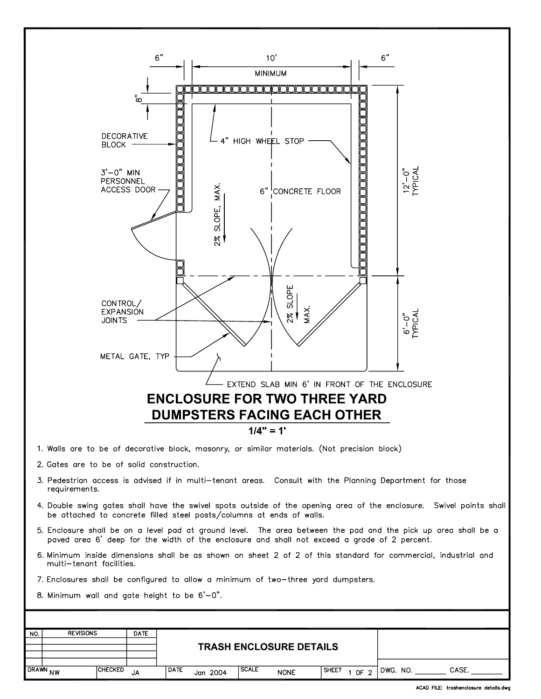